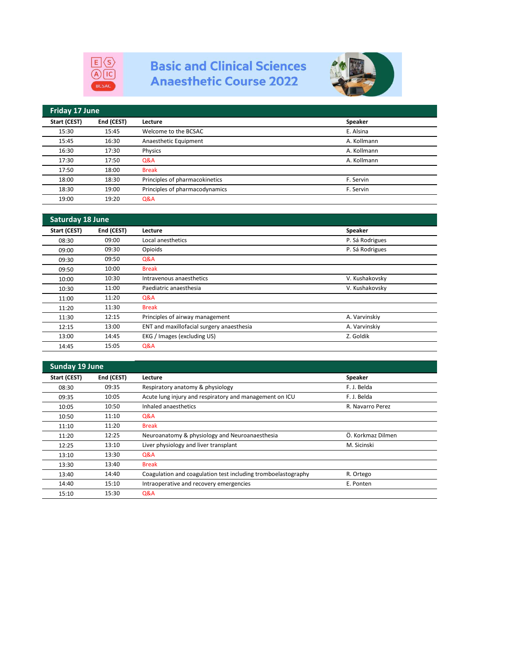

## **Basic and Clinical Sciences Anaesthetic Course 2022**



| Friday 17 June |            |                                |             |  |
|----------------|------------|--------------------------------|-------------|--|
| Start (CEST)   | End (CEST) | Lecture                        | Speaker     |  |
| 15:30          | 15:45      | Welcome to the BCSAC           | E. Alsina   |  |
| 15:45          | 16:30      | Anaesthetic Equipment          | A. Kollmann |  |
| 16:30          | 17:30      | Physics                        | A. Kollmann |  |
| 17:30          | 17:50      | Q&A                            | A. Kollmann |  |
| 17:50          | 18:00      | <b>Break</b>                   |             |  |
| 18:00          | 18:30      | Principles of pharmacokinetics | F. Servin   |  |
| 18:30          | 19:00      | Principles of pharmacodynamics | F. Servin   |  |
| 19:00          | 19:20      | Q&A                            |             |  |

| Saturday 18 June |            |                                           |                 |  |
|------------------|------------|-------------------------------------------|-----------------|--|
| Start (CEST)     | End (CEST) | Lecture                                   | Speaker         |  |
| 08:30            | 09:00      | Local anesthetics                         | P. Sá Rodrigues |  |
| 09:00            | 09:30      | Opioids                                   | P. Sá Rodrigues |  |
| 09:30            | 09:50      | Q&A                                       |                 |  |
| 09:50            | 10:00      | <b>Break</b>                              |                 |  |
| 10:00            | 10:30      | Intravenous anaesthetics                  | V. Kushakovsky  |  |
| 10:30            | 11:00      | Paediatric anaesthesia                    | V. Kushakovsky  |  |
| 11:00            | 11:20      | Q&A                                       |                 |  |
| 11:20            | 11:30      | <b>Break</b>                              |                 |  |
| 11:30            | 12:15      | Principles of airway management           | A. Varvinskiy   |  |
| 12:15            | 13:00      | ENT and maxillofacial surgery anaesthesia | A. Varvinskiy   |  |
| 13:00            | 14:45      | EKG / Images (excluding US)               | Z. Goldik       |  |
| 14:45            | 15:05      | Q&A                                       |                 |  |

| <b>Sunday 19 June</b> |            |                                                               |                   |  |
|-----------------------|------------|---------------------------------------------------------------|-------------------|--|
| Start (CEST)          | End (CEST) | Lecture                                                       | <b>Speaker</b>    |  |
| 08:30                 | 09:35      | Respiratory anatomy & physiology                              | F. J. Belda       |  |
| 09:35                 | 10:05      | Acute lung injury and respiratory and management on ICU       | F. J. Belda       |  |
| 10:05                 | 10:50      | Inhaled anaesthetics                                          | R. Navarro Perez  |  |
| 10:50                 | 11:10      | Q&A                                                           |                   |  |
| 11:10                 | 11:20      | <b>Break</b>                                                  |                   |  |
| 11:20                 | 12:25      | Neuroanatomy & physiology and Neuroanaesthesia                | Ö. Korkmaz Dilmen |  |
| 12:25                 | 13:10      | Liver physiology and liver transplant                         | M. Sicinski       |  |
| 13:10                 | 13:30      | Q&A                                                           |                   |  |
| 13:30                 | 13:40      | <b>Break</b>                                                  |                   |  |
| 13:40                 | 14:40      | Coagulation and coagulation test including tromboelastography | R. Ortego         |  |
| 14:40                 | 15:10      | Intraoperative and recovery emergencies                       | E. Ponten         |  |
| 15:10                 | 15:30      | Q&A                                                           |                   |  |